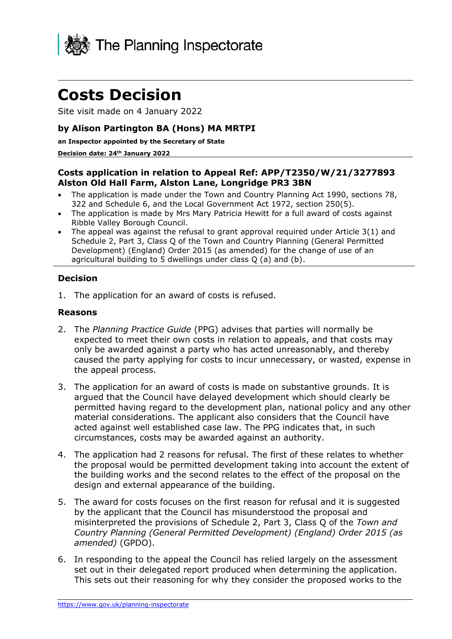

# **Costs Decision**

Site visit made on 4 January 2022

## **by Alison Partington BA (Hons) MA MRTPI**

#### **an Inspector appointed by the Secretary of State**

#### **Decision date: 24th January 2022**

## **Costs application in relation to Appeal Ref: APP/T2350/W/21/3277893 Alston Old Hall Farm, Alston Lane, Longridge PR3 3BN**

- The application is made under the Town and Country Planning Act 1990, sections 78, 322 and Schedule 6, and the Local Government Act 1972, section 250(5).
- The application is made by Mrs Mary Patricia Hewitt for a full award of costs against Ribble Valley Borough Council.
- The appeal was against the refusal to grant approval required under Article  $3(1)$  and Schedule 2, Part 3, Class Q of the Town and Country Planning (General Permitted Development) (England) Order 2015 (as amended) for the change of use of an agricultural building to 5 dwellings under class Q (a) and (b).

## **Decision**

1. The application for an award of costs is refused.

### **Reasons**

- 2. The *Planning Practice Guide* (PPG) advises that parties will normally be expected to meet their own costs in relation to appeals, and that costs may only be awarded against a party who has acted unreasonably, and thereby caused the party applying for costs to incur unnecessary, or wasted, expense in the appeal process.
- 3. The application for an award of costs is made on substantive grounds. It is argued that the Council have delayed development which should clearly be permitted having regard to the development plan, national policy and any other material considerations. The applicant also considers that the Council have acted against well established case law. The PPG indicates that, in such circumstances, costs may be awarded against an authority.
- 4. The application had 2 reasons for refusal. The first of these relates to whether the proposal would be permitted development taking into account the extent of the building works and the second relates to the effect of the proposal on the design and external appearance of the building.
- 5. The award for costs focuses on the first reason for refusal and it is suggested by the applicant that the Council has misunderstood the proposal and misinterpreted the provisions of Schedule 2, Part 3, Class Q of the *Town and Country Planning (General Permitted Development) (England) Order 2015 (as amended)* (GPDO).
- 6. In responding to the appeal the Council has relied largely on the assessment set out in their delegated report produced when determining the application. This sets out their reasoning for why they consider the proposed works to the